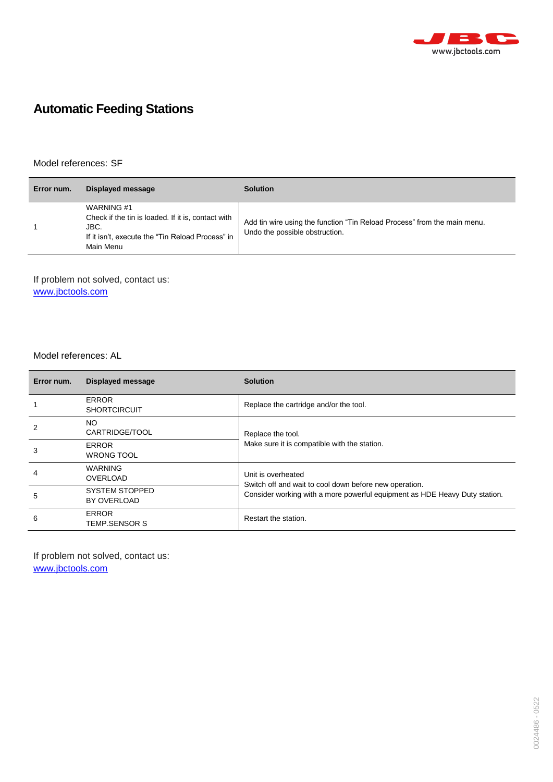

## **Automatic Feeding Stations**

## Model references: SF

| Error num. | Displayed message                                                                                                                         | <b>Solution</b>                                                                                            |
|------------|-------------------------------------------------------------------------------------------------------------------------------------------|------------------------------------------------------------------------------------------------------------|
|            | WARNING #1<br>Check if the tin is loaded. If it is, contact with<br>JBC.<br>If it isn't, execute the "Tin Reload Process" in<br>Main Menu | Add tin wire using the function "Tin Reload Process" from the main menu.<br>Undo the possible obstruction. |

If problem not solved, contact us: [www.jbctools.com](https://www.jbctools.com/jbcsupport.html)

## Model references: AL

| Error num. | Displayed message                    | <b>Solution</b>                                                                                                                                            |
|------------|--------------------------------------|------------------------------------------------------------------------------------------------------------------------------------------------------------|
|            | <b>ERROR</b><br><b>SHORTCIRCUIT</b>  | Replace the cartridge and/or the tool.                                                                                                                     |
| 2          | NO.<br>CARTRIDGE/TOOL                | Replace the tool.<br>Make sure it is compatible with the station.                                                                                          |
| 3          | <b>ERROR</b><br><b>WRONG TOOL</b>    |                                                                                                                                                            |
| 4          | <b>WARNING</b><br>OVERLOAD           | Unit is overheated<br>Switch off and wait to cool down before new operation.<br>Consider working with a more powerful equipment as HDE Heavy Duty station. |
| 5          | <b>SYSTEM STOPPED</b><br>BY OVERLOAD |                                                                                                                                                            |
| 6          | <b>ERROR</b><br>TEMP.SENSOR S        | Restart the station.                                                                                                                                       |

If problem not solved, contact us: [www.jbctools.com](https://www.jbctools.com/jbcsupport.html)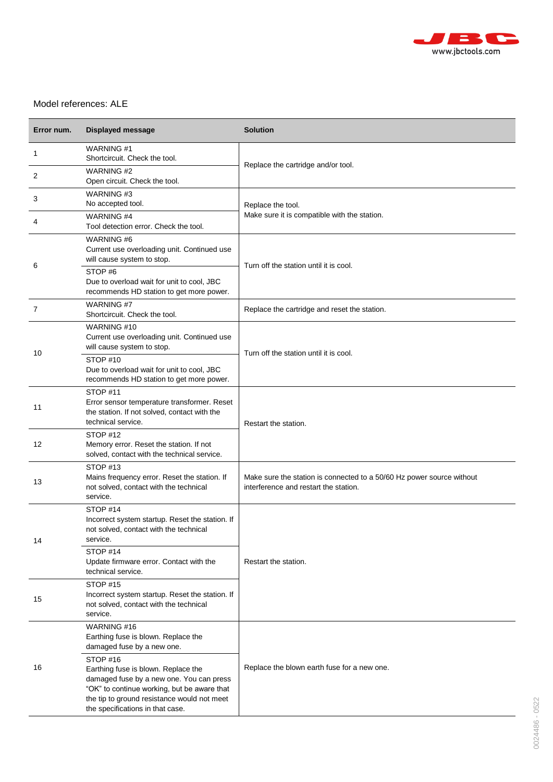

## Model references: ALE

| Error num. | <b>Displayed message</b>                                                                                                                                                                                                      | <b>Solution</b>                                                                                                |
|------------|-------------------------------------------------------------------------------------------------------------------------------------------------------------------------------------------------------------------------------|----------------------------------------------------------------------------------------------------------------|
| 1          | WARNING #1<br>Shortcircuit. Check the tool.                                                                                                                                                                                   | Replace the cartridge and/or tool.                                                                             |
| 2          | <b>WARNING#2</b><br>Open circuit. Check the tool.                                                                                                                                                                             |                                                                                                                |
| 3          | <b>WARNING#3</b><br>No accepted tool.                                                                                                                                                                                         | Replace the tool.<br>Make sure it is compatible with the station.                                              |
| 4          | <b>WARNING #4</b><br>Tool detection error. Check the tool.                                                                                                                                                                    |                                                                                                                |
| 6          | <b>WARNING#6</b><br>Current use overloading unit. Continued use<br>will cause system to stop.                                                                                                                                 | Turn off the station until it is cool.                                                                         |
|            | STOP#6<br>Due to overload wait for unit to cool, JBC<br>recommends HD station to get more power.                                                                                                                              |                                                                                                                |
| 7          | <b>WARNING #7</b><br>Shortcircuit. Check the tool.                                                                                                                                                                            | Replace the cartridge and reset the station.                                                                   |
| 10         | WARNING #10<br>Current use overloading unit. Continued use<br>will cause system to stop.                                                                                                                                      | Turn off the station until it is cool.                                                                         |
|            | STOP#10<br>Due to overload wait for unit to cool, JBC<br>recommends HD station to get more power.                                                                                                                             |                                                                                                                |
| 11         | STOP #11<br>Error sensor temperature transformer. Reset<br>the station. If not solved, contact with the<br>technical service.                                                                                                 | Restart the station.                                                                                           |
| 12         | STOP #12<br>Memory error. Reset the station. If not<br>solved, contact with the technical service.                                                                                                                            |                                                                                                                |
| 13         | STOP <sub>#13</sub><br>Mains frequency error. Reset the station. If<br>not solved, contact with the technical<br>service.                                                                                                     | Make sure the station is connected to a 50/60 Hz power source without<br>interference and restart the station. |
| 14         | STOP #14<br>Incorrect system startup. Reset the station. If<br>not solved, contact with the technical<br>service.                                                                                                             | Restart the station.                                                                                           |
|            | STOP <sub>#14</sub><br>Update firmware error. Contact with the<br>technical service.                                                                                                                                          |                                                                                                                |
| 15         | STOP #15<br>Incorrect system startup. Reset the station. If<br>not solved, contact with the technical<br>service.                                                                                                             |                                                                                                                |
|            | WARNING #16<br>Earthing fuse is blown. Replace the<br>damaged fuse by a new one.                                                                                                                                              |                                                                                                                |
| 16         | STOP #16<br>Earthing fuse is blown. Replace the<br>damaged fuse by a new one. You can press<br>"OK" to continue working, but be aware that<br>the tip to ground resistance would not meet<br>the specifications in that case. | Replace the blown earth fuse for a new one.                                                                    |